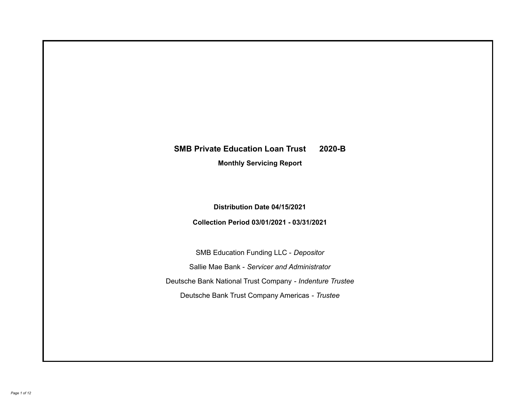# **SMB Private Education Loan Trust 2020-B**

**Monthly Servicing Report**

**Distribution Date 04/15/2021**

**Collection Period 03/01/2021 - 03/31/2021**

SMB Education Funding LLC - *Depositor* Sallie Mae Bank - *Servicer and Administrator* Deutsche Bank National Trust Company - *Indenture Trustee* Deutsche Bank Trust Company Americas - *Trustee*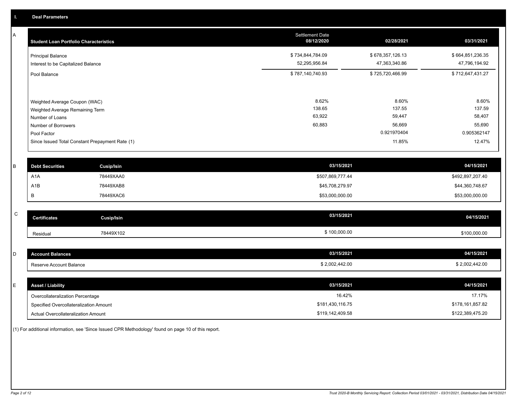A

| <b>Student Loan Portfolio Characteristics</b>                                                                             | <b>Settlement Date</b><br>08/12/2020 | 02/28/2021                                         | 03/31/2021                                         |
|---------------------------------------------------------------------------------------------------------------------------|--------------------------------------|----------------------------------------------------|----------------------------------------------------|
| <b>Principal Balance</b><br>Interest to be Capitalized Balance                                                            | \$734,844,784.09<br>52,295,956.84    | \$678,357,126.13<br>47,363,340.86                  | \$664,851,236.35<br>47,796,194.92                  |
| Pool Balance                                                                                                              | \$787,140,740.93                     | \$725,720,466.99                                   | \$712,647,431.27                                   |
| Weighted Average Coupon (WAC)<br>Weighted Average Remaining Term<br>Number of Loans<br>Number of Borrowers<br>Pool Factor | 8.62%<br>138.65<br>63,922<br>60,883  | 8.60%<br>137.55<br>59,447<br>56,669<br>0.921970404 | 8.60%<br>137.59<br>58,407<br>55,690<br>0.905362147 |
| Since Issued Total Constant Prepayment Rate (1)                                                                           |                                      | 11.85%                                             | 12.47%                                             |
|                                                                                                                           |                                      |                                                    |                                                    |

| <b>Debt Securities</b> | Cusip/Isin | 03/15/2021       | 04/15/2021       |
|------------------------|------------|------------------|------------------|
| A <sub>1</sub> A       | 78449XAA0  | \$507,869,777.44 | \$492,897,207.40 |
| A1B                    | 78449XAB8  | \$45,708,279.97  | \$44,360,748.67  |
|                        | 78449XAC6  | \$53,000,000.00  | \$53,000,000.00  |
|                        |            |                  |                  |

| $\sim$<br>◡ | <b>Certificates</b> | Cusip/Isin | 03/15/2021   | 04/15/2021   |
|-------------|---------------------|------------|--------------|--------------|
|             | Residual            | 78449X102  | \$100,000.00 | \$100,000.00 |

| <b>Account Balances</b> | 03/15/2021     | 04/15/2021     |
|-------------------------|----------------|----------------|
| Reserve Account Balance | \$2,002,442.00 | \$2,002,442.00 |

| <b>Asset / Liability</b>               | 03/15/2021       | 04/15/2021       |
|----------------------------------------|------------------|------------------|
| Overcollateralization Percentage       | 16.42%           | 17.17%           |
| Specified Overcollateralization Amount | \$181,430,116.75 | \$178,161,857.82 |
| Actual Overcollateralization Amount    | \$119,142,409.58 | \$122,389,475.20 |

(1) For additional information, see 'Since Issued CPR Methodology' found on page 10 of this report.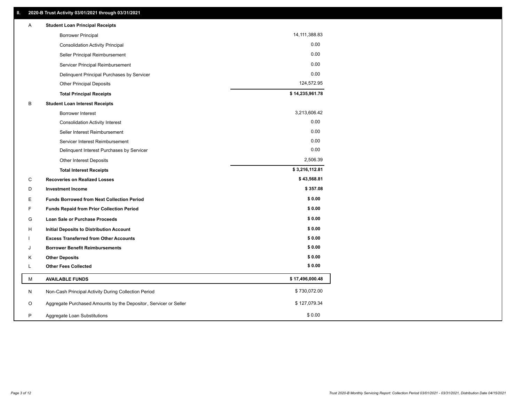| Α         | <b>Student Loan Principal Receipts</b>                           |                 |
|-----------|------------------------------------------------------------------|-----------------|
|           | <b>Borrower Principal</b>                                        | 14, 111, 388.83 |
|           | <b>Consolidation Activity Principal</b>                          | 0.00            |
|           | Seller Principal Reimbursement                                   | 0.00            |
|           | Servicer Principal Reimbursement                                 | 0.00            |
|           | Delinquent Principal Purchases by Servicer                       | 0.00            |
|           | <b>Other Principal Deposits</b>                                  | 124,572.95      |
|           | <b>Total Principal Receipts</b>                                  | \$14,235,961.78 |
| B         | <b>Student Loan Interest Receipts</b>                            |                 |
|           | <b>Borrower Interest</b>                                         | 3,213,606.42    |
|           | <b>Consolidation Activity Interest</b>                           | 0.00            |
|           | Seller Interest Reimbursement                                    | 0.00            |
|           | Servicer Interest Reimbursement                                  | 0.00            |
|           | Delinquent Interest Purchases by Servicer                        | 0.00            |
|           | Other Interest Deposits                                          | 2,506.39        |
|           | <b>Total Interest Receipts</b>                                   | \$3,216,112.81  |
| C         | <b>Recoveries on Realized Losses</b>                             | \$43,568.81     |
| D         | <b>Investment Income</b>                                         | \$357.08        |
| Е         | <b>Funds Borrowed from Next Collection Period</b>                | \$0.00          |
| F         | <b>Funds Repaid from Prior Collection Period</b>                 | \$0.00          |
| G         | <b>Loan Sale or Purchase Proceeds</b>                            | \$0.00          |
| н         | Initial Deposits to Distribution Account                         | \$0.00          |
|           | <b>Excess Transferred from Other Accounts</b>                    | \$0.00          |
| J         | <b>Borrower Benefit Reimbursements</b>                           | \$0.00          |
| Κ         | <b>Other Deposits</b>                                            | \$0.00          |
| L         | <b>Other Fees Collected</b>                                      | \$0.00          |
| М         | <b>AVAILABLE FUNDS</b>                                           | \$17,496,000.48 |
| ${\sf N}$ | Non-Cash Principal Activity During Collection Period             | \$730,072.00    |
| O         | Aggregate Purchased Amounts by the Depositor, Servicer or Seller | \$127,079.34    |
|           |                                                                  |                 |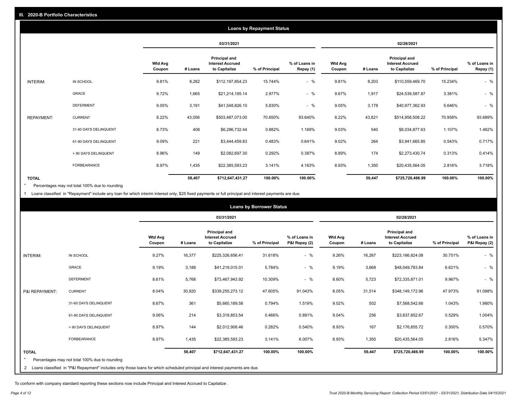|                   |                       |                   |         |                                                           | <b>Loans by Repayment Status</b> |                            |                          |         |                                                           |                |                            |
|-------------------|-----------------------|-------------------|---------|-----------------------------------------------------------|----------------------------------|----------------------------|--------------------------|---------|-----------------------------------------------------------|----------------|----------------------------|
|                   |                       |                   |         | 03/31/2021                                                |                                  |                            |                          |         | 02/28/2021                                                |                |                            |
|                   |                       | Wtd Avg<br>Coupon | # Loans | Principal and<br><b>Interest Accrued</b><br>to Capitalize | % of Principal                   | % of Loans in<br>Repay (1) | <b>Wtd Avg</b><br>Coupon | # Loans | Principal and<br><b>Interest Accrued</b><br>to Capitalize | % of Principal | % of Loans in<br>Repay (1) |
| INTERIM:          | IN SCHOOL             | 9.81%             | 8,282   | \$112,197,854.23                                          | 15.744%                          | $-$ %                      | 9.81%                    | 8,203   | \$110,559,469.70                                          | 15.234%        | $-$ %                      |
|                   | <b>GRACE</b>          | 9.72%             | 1,665   | \$21,214,195.14                                           | 2.977%                           | $-$ %                      | 9.67%                    | 1,917   | \$24,539,587.87                                           | 3.381%         | $-$ %                      |
|                   | <b>DEFERMENT</b>      | 9.05%             | 3,191   | \$41,548,826.10                                           | 5.830%                           | $-$ %                      | 9.05%                    | 3,178   | \$40,977,362.93                                           | 5.646%         | $-$ %                      |
| <b>REPAYMENT:</b> | <b>CURRENT</b>        | 8.22%             | 43,056  | \$503,487,073.00                                          | 70.650%                          | 93.640%                    | 8.22%                    | 43,821  | \$514,958,508.22                                          | 70.958%        | 93.689%                    |
|                   | 31-60 DAYS DELINQUENT | 8.73%             | 408     | \$6,286,732.44                                            | 0.882%                           | 1.169%                     | 9.03%                    | 540     | \$8,034,877.63                                            | 1.107%         | 1.462%                     |
|                   | 61-90 DAYS DELINQUENT | 9.09%             | 221     | \$3,444,459.83                                            | 0.483%                           | 0.641%                     | 9.02%                    | 264     | \$3,941,665.85                                            | 0.543%         | 0.717%                     |
|                   | > 90 DAYS DELINQUENT  | 8.96%             | 149     | \$2,082,697.30                                            | 0.292%                           | 0.387%                     | 8.89%                    | 174     | \$2,273,430.74                                            | 0.313%         | 0.414%                     |
|                   | <b>FORBEARANCE</b>    | 8.97%             | 1,435   | \$22,385,593.23                                           | 3.141%                           | 4.163%                     | 8.93%                    | 1,350   | \$20,435,564.05                                           | 2.816%         | 3.718%                     |
| <b>TOTAL</b>      |                       |                   | 58,407  | \$712,647,431.27                                          | 100.00%                          | 100.00%                    |                          | 59,447  | \$725,720,466.99                                          | 100.00%        | 100.00%                    |

Percentages may not total 100% due to rounding \*

1 Loans classified in "Repayment" include any loan for which interim interest only, \$25 fixed payments or full principal and interest payments are due.

|                |                                                                                                                              |                          |         |                                                           | <b>Loans by Borrower Status</b> |                                |                          |         |                                                                  |                |                                |
|----------------|------------------------------------------------------------------------------------------------------------------------------|--------------------------|---------|-----------------------------------------------------------|---------------------------------|--------------------------------|--------------------------|---------|------------------------------------------------------------------|----------------|--------------------------------|
|                |                                                                                                                              |                          |         | 03/31/2021                                                |                                 |                                |                          |         | 02/28/2021                                                       |                |                                |
|                |                                                                                                                              | <b>Wtd Avg</b><br>Coupon | # Loans | Principal and<br><b>Interest Accrued</b><br>to Capitalize | % of Principal                  | % of Loans in<br>P&I Repay (2) | <b>Wtd Avg</b><br>Coupon | # Loans | <b>Principal and</b><br><b>Interest Accrued</b><br>to Capitalize | % of Principal | % of Loans in<br>P&I Repay (2) |
| INTERIM:       | IN SCHOOL                                                                                                                    | 9.27%                    | 16,377  | \$225,326,656.41                                          | 31.618%                         | $-$ %                          | 9.26%                    | 16,267  | \$223,166,824.08                                                 | 30.751%        | $-$ %                          |
|                | GRACE                                                                                                                        | 9.19%                    | 3,188   | \$41,219,015.01                                           | 5.784%                          | $-$ %                          | 9.19%                    | 3,668   | \$48,049,783.84                                                  | 6.621%         | $-$ %                          |
|                | <b>DEFERMENT</b>                                                                                                             | 8.61%                    | 5,768   | \$73,467,943.92                                           | 10.309%                         | $-$ %                          | 8.60%                    | 5,723   | \$72,335,871.01                                                  | 9.967%         | $-$ %                          |
| P&I REPAYMENT: | <b>CURRENT</b>                                                                                                               | 8.04%                    | 30,920  | \$339,255,273.12                                          | 47.605%                         | 91.043%                        | 8.05%                    | 31,514  | \$348,149,172.96                                                 | 47.973%        | 91.098%                        |
|                | 31-60 DAYS DELINQUENT                                                                                                        | 8.67%                    | 361     | \$5,660,189.58                                            | 0.794%                          | 1.519%                         | 9.02%                    | 502     | \$7,568,542.66                                                   | 1.043%         | 1.980%                         |
|                | 61-90 DAYS DELINQUENT                                                                                                        | 9.06%                    | 214     | \$3,319,853.54                                            | 0.466%                          | 0.891%                         | 9.04%                    | 256     | \$3,837,852.67                                                   | 0.529%         | 1.004%                         |
|                | > 90 DAYS DELINQUENT                                                                                                         | 8.97%                    | 144     | \$2,012,906.46                                            | 0.282%                          | 0.540%                         | 8.93%                    | 167     | \$2,176,855.72                                                   | 0.300%         | 0.570%                         |
|                | FORBEARANCE                                                                                                                  | 8.97%                    | 1,435   | \$22,385,593.23                                           | 3.141%                          | 6.007%                         | 8.93%                    | 1,350   | \$20,435,564.05                                                  | 2.816%         | 5.347%                         |
| <b>TOTAL</b>   |                                                                                                                              |                          | 58,407  | \$712,647,431.27                                          | 100.00%                         | 100.00%                        |                          | 59,447  | \$725,720,466.99                                                 | 100.00%        | 100.00%                        |
|                | Percentages may not total 100% due to rounding                                                                               |                          |         |                                                           |                                 |                                |                          |         |                                                                  |                |                                |
|                | 2 Loans classified in "P&I Repayment" includes only those loans for which scheduled principal and interest payments are due. |                          |         |                                                           |                                 |                                |                          |         |                                                                  |                |                                |

To conform with company standard reporting these sections now include Principal and Interest Accrued to Capitalize .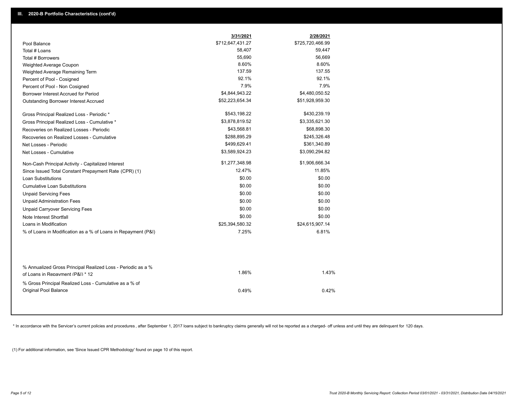|                                                                                                  | 3/31/2021        | 2/28/2021        |
|--------------------------------------------------------------------------------------------------|------------------|------------------|
| Pool Balance                                                                                     | \$712,647,431.27 | \$725,720,466.99 |
| Total # Loans                                                                                    | 58,407           | 59,447           |
| Total # Borrowers                                                                                | 55,690           | 56,669           |
| Weighted Average Coupon                                                                          | 8.60%            | 8.60%            |
| Weighted Average Remaining Term                                                                  | 137.59           | 137.55           |
| Percent of Pool - Cosigned                                                                       | 92.1%            | 92.1%            |
| Percent of Pool - Non Cosigned                                                                   | 7.9%             | 7.9%             |
| Borrower Interest Accrued for Period                                                             | \$4,844,943.22   | \$4,480,050.52   |
| Outstanding Borrower Interest Accrued                                                            | \$52,223,654.34  | \$51,928,959.30  |
| Gross Principal Realized Loss - Periodic *                                                       | \$543,198.22     | \$430,239.19     |
| Gross Principal Realized Loss - Cumulative *                                                     | \$3,878,819.52   | \$3,335,621.30   |
| Recoveries on Realized Losses - Periodic                                                         | \$43,568.81      | \$68,898.30      |
| Recoveries on Realized Losses - Cumulative                                                       | \$288,895.29     | \$245,326.48     |
| Net Losses - Periodic                                                                            | \$499,629.41     | \$361,340.89     |
| Net Losses - Cumulative                                                                          | \$3,589,924.23   | \$3,090,294.82   |
| Non-Cash Principal Activity - Capitalized Interest                                               | \$1,277,348.98   | \$1,906,666.34   |
| Since Issued Total Constant Prepayment Rate (CPR) (1)                                            | 12.47%           | 11.85%           |
| <b>Loan Substitutions</b>                                                                        | \$0.00           | \$0.00           |
| <b>Cumulative Loan Substitutions</b>                                                             | \$0.00           | \$0.00           |
| <b>Unpaid Servicing Fees</b>                                                                     | \$0.00           | \$0.00           |
| <b>Unpaid Administration Fees</b>                                                                | \$0.00           | \$0.00           |
| <b>Unpaid Carryover Servicing Fees</b>                                                           | \$0.00           | \$0.00           |
| Note Interest Shortfall                                                                          | \$0.00           | \$0.00           |
| Loans in Modification                                                                            | \$25,394,580.32  | \$24,615,907.14  |
| % of Loans in Modification as a % of Loans in Repayment (P&I)                                    | 7.25%            | 6.81%            |
|                                                                                                  |                  |                  |
| % Annualized Gross Principal Realized Loss - Periodic as a %<br>of Loans in Repayment (P&I) * 12 | 1.86%            | 1.43%            |
| % Gross Principal Realized Loss - Cumulative as a % of<br><b>Original Pool Balance</b>           | 0.49%            | 0.42%            |

\* In accordance with the Servicer's current policies and procedures, after September 1, 2017 loans subject to bankruptcy claims generally will not be reported as a charged- off unless and until they are delinquent for 120

(1) For additional information, see 'Since Issued CPR Methodology' found on page 10 of this report.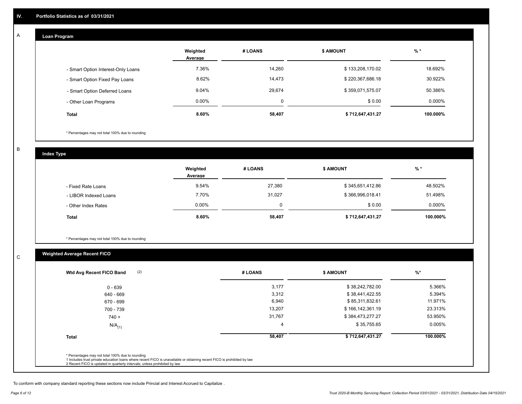## **Loan Program**

A

|                                    | Weighted<br>Average | # LOANS | <b>\$ AMOUNT</b> | $%$ *    |
|------------------------------------|---------------------|---------|------------------|----------|
| - Smart Option Interest-Only Loans | 7.36%               | 14,260  | \$133,208,170.02 | 18.692%  |
| - Smart Option Fixed Pay Loans     | 8.62%               | 14,473  | \$220,367,686.18 | 30.922%  |
| - Smart Option Deferred Loans      | 9.04%               | 29,674  | \$359,071,575.07 | 50.386%  |
| - Other Loan Programs              | $0.00\%$            | 0       | \$0.00           | 0.000%   |
| <b>Total</b>                       | 8.60%               | 58,407  | \$712,647,431.27 | 100.000% |

\* Percentages may not total 100% due to rounding

B

C

**Index Type**

|                       | Weighted<br>Average | # LOANS | <b>S AMOUNT</b>  | % *       |
|-----------------------|---------------------|---------|------------------|-----------|
| - Fixed Rate Loans    | 9.54%               | 27,380  | \$345,651,412.86 | 48.502%   |
| - LIBOR Indexed Loans | 7.70%               | 31,027  | \$366,996,018.41 | 51.498%   |
| - Other Index Rates   | $0.00\%$            |         | \$0.00           | $0.000\%$ |
| <b>Total</b>          | 8.60%               | 58,407  | \$712,647,431.27 | 100.000%  |

\* Percentages may not total 100% due to rounding

# **Weighted Average Recent FICO**

| $0 - 639$            |        |                  |          |
|----------------------|--------|------------------|----------|
|                      | 3,177  | \$38,242,782.00  | 5.366%   |
| 640 - 669            | 3,312  | \$38,441,422.55  | 5.394%   |
| 670 - 699            | 6,940  | \$85,311,832.61  | 11.971%  |
| 700 - 739            | 13,207 | \$166,142,361.19 | 23.313%  |
| $740 +$              | 31,767 | \$384,473,277.27 | 53.950%  |
| $N/A$ <sub>(1)</sub> | 4      | \$35,755.65      | 0.005%   |
| <b>Total</b>         | 58,407 | \$712,647,431.27 | 100.000% |

To conform with company standard reporting these sections now include Princial and Interest Accrued to Capitalize .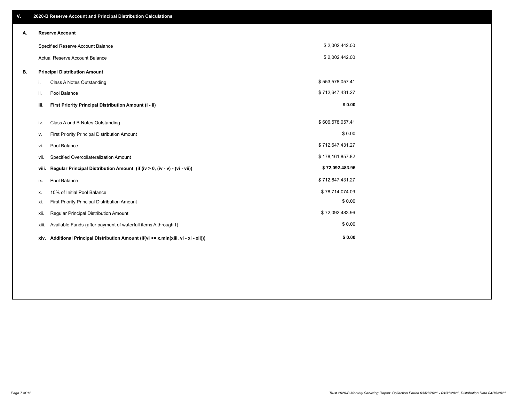| V. |                                   | 2020-B Reserve Account and Principal Distribution Calculations                       |                  |  |
|----|-----------------------------------|--------------------------------------------------------------------------------------|------------------|--|
| А. |                                   | <b>Reserve Account</b>                                                               |                  |  |
|    | Specified Reserve Account Balance |                                                                                      | \$2,002,442.00   |  |
|    |                                   | Actual Reserve Account Balance                                                       | \$2,002,442.00   |  |
| В. |                                   | <b>Principal Distribution Amount</b>                                                 |                  |  |
|    | i.                                | Class A Notes Outstanding                                                            | \$553,578,057.41 |  |
|    | ii.                               | Pool Balance                                                                         | \$712,647,431.27 |  |
|    | iii.                              | First Priority Principal Distribution Amount (i - ii)                                | \$0.00           |  |
|    | iv.                               | Class A and B Notes Outstanding                                                      | \$606,578,057.41 |  |
|    | ν.                                | First Priority Principal Distribution Amount                                         | \$0.00           |  |
|    | vi.                               | Pool Balance                                                                         | \$712,647,431.27 |  |
|    | vii.                              | Specified Overcollateralization Amount                                               | \$178,161,857.82 |  |
|    | viii.                             | Regular Principal Distribution Amount (if (iv > 0, (iv - v) - (vi - vii))            | \$72,092,483.96  |  |
|    | ix.                               | Pool Balance                                                                         | \$712,647,431.27 |  |
|    | х.                                | 10% of Initial Pool Balance                                                          | \$78,714,074.09  |  |
|    | xi.                               | First Priority Principal Distribution Amount                                         | \$0.00           |  |
|    | xii.                              | Regular Principal Distribution Amount                                                | \$72,092,483.96  |  |
|    | xiii.                             | Available Funds (after payment of waterfall items A through I)                       | \$0.00           |  |
|    |                                   | xiv. Additional Principal Distribution Amount (if(vi <= x,min(xiii, vi - xi - xii))) | \$0.00           |  |
|    |                                   |                                                                                      |                  |  |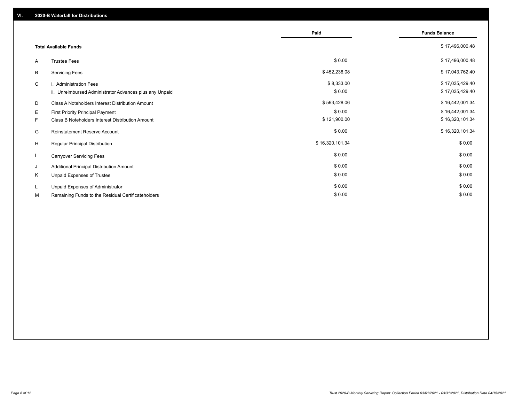|    |                                                         | Paid            | <b>Funds Balance</b> |
|----|---------------------------------------------------------|-----------------|----------------------|
|    | <b>Total Available Funds</b>                            |                 | \$17,496,000.48      |
| A  | <b>Trustee Fees</b>                                     | \$0.00          | \$17,496,000.48      |
| B  | <b>Servicing Fees</b>                                   | \$452,238.08    | \$17,043,762.40      |
| C  | i. Administration Fees                                  | \$8,333.00      | \$17,035,429.40      |
|    | ii. Unreimbursed Administrator Advances plus any Unpaid | \$0.00          | \$17,035,429.40      |
| D  | Class A Noteholders Interest Distribution Amount        | \$593,428.06    | \$16,442,001.34      |
| Е  | First Priority Principal Payment                        | \$0.00          | \$16,442,001.34      |
| F. | Class B Noteholders Interest Distribution Amount        | \$121,900.00    | \$16,320,101.34      |
| G  | <b>Reinstatement Reserve Account</b>                    | \$0.00          | \$16,320,101.34      |
| H  | Regular Principal Distribution                          | \$16,320,101.34 | \$0.00               |
|    | <b>Carryover Servicing Fees</b>                         | \$0.00          | \$0.00               |
| J  | Additional Principal Distribution Amount                | \$0.00          | \$0.00               |
| Κ  | Unpaid Expenses of Trustee                              | \$0.00          | \$0.00               |
| L  | Unpaid Expenses of Administrator                        | \$0.00          | \$0.00               |
| М  | Remaining Funds to the Residual Certificateholders      | \$0.00          | \$0.00               |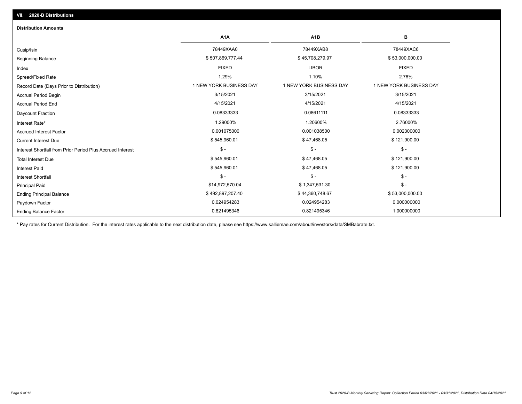| <b>Distribution Amounts</b>                                |                         |                         |                         |
|------------------------------------------------------------|-------------------------|-------------------------|-------------------------|
|                                                            | A <sub>1</sub> A        | A <sub>1</sub> B        | в                       |
| Cusip/Isin                                                 | 78449XAA0               | 78449XAB8               | 78449XAC6               |
| <b>Beginning Balance</b>                                   | \$507,869,777.44        | \$45,708,279.97         | \$53,000,000.00         |
| Index                                                      | <b>FIXED</b>            | <b>LIBOR</b>            | <b>FIXED</b>            |
| Spread/Fixed Rate                                          | 1.29%                   | 1.10%                   | 2.76%                   |
| Record Date (Days Prior to Distribution)                   | 1 NEW YORK BUSINESS DAY | 1 NEW YORK BUSINESS DAY | 1 NEW YORK BUSINESS DAY |
| <b>Accrual Period Begin</b>                                | 3/15/2021               | 3/15/2021               | 3/15/2021               |
| <b>Accrual Period End</b>                                  | 4/15/2021               | 4/15/2021               | 4/15/2021               |
| Daycount Fraction                                          | 0.08333333              | 0.08611111              | 0.08333333              |
| Interest Rate*                                             | 1.29000%                | 1.20600%                | 2.76000%                |
| <b>Accrued Interest Factor</b>                             | 0.001075000             | 0.001038500             | 0.002300000             |
| <b>Current Interest Due</b>                                | \$545,960.01            | \$47,468.05             | \$121,900.00            |
| Interest Shortfall from Prior Period Plus Accrued Interest | $\mathsf{\$}$ -         | $\mathsf{\$}$ -         | $\mathsf{\$}$ -         |
| <b>Total Interest Due</b>                                  | \$545,960.01            | \$47,468.05             | \$121,900.00            |
| <b>Interest Paid</b>                                       | \$545,960.01            | \$47,468.05             | \$121,900.00            |
| Interest Shortfall                                         | $\mathsf{\$}$ -         | $\mathsf{\$}$ -         | $\mathsf{\$}$ -         |
| <b>Principal Paid</b>                                      | \$14,972,570.04         | \$1,347,531.30          | $\mathsf{\$}$ -         |
| <b>Ending Principal Balance</b>                            | \$492,897,207.40        | \$44,360,748.67         | \$53,000,000.00         |
| Paydown Factor                                             | 0.024954283             | 0.024954283             | 0.000000000             |
| <b>Ending Balance Factor</b>                               | 0.821495346             | 0.821495346             | 1.000000000             |

\* Pay rates for Current Distribution. For the interest rates applicable to the next distribution date, please see https://www.salliemae.com/about/investors/data/SMBabrate.txt.

**VII. 2020-B Distributions**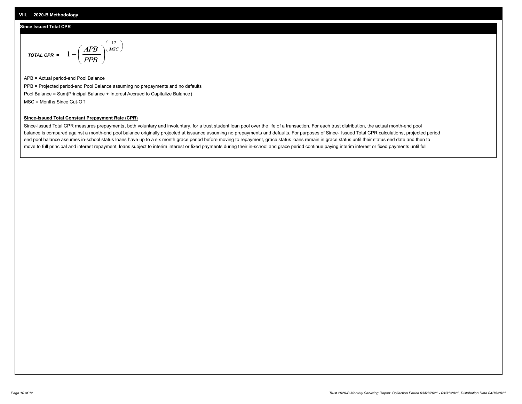#### **Since Issued Total CPR**

$$
\text{total CPR} = 1 - \left(\frac{APB}{PPB}\right)^{\left(\frac{12}{MSC}\right)}
$$

APB = Actual period-end Pool Balance PPB = Projected period-end Pool Balance assuming no prepayments and no defaults Pool Balance = Sum(Principal Balance + Interest Accrued to Capitalize Balance) MSC = Months Since Cut-Off

 $\mathsf{I}$ J λ

#### **Since-Issued Total Constant Prepayment Rate (CPR)**

Since-Issued Total CPR measures prepayments, both voluntary and involuntary, for a trust student loan pool over the life of a transaction. For each trust distribution, the actual month-end pool balance is compared against a month-end pool balance originally projected at issuance assuming no prepayments and defaults. For purposes of Since- Issued Total CPR calculations, projected period end pool balance assumes in-school status loans have up to a six month grace period before moving to repayment, grace status loans remain in grace status until their status end date and then to move to full principal and interest repayment, loans subject to interim interest or fixed payments during their in-school and grace period continue paying interim interest or fixed payments until full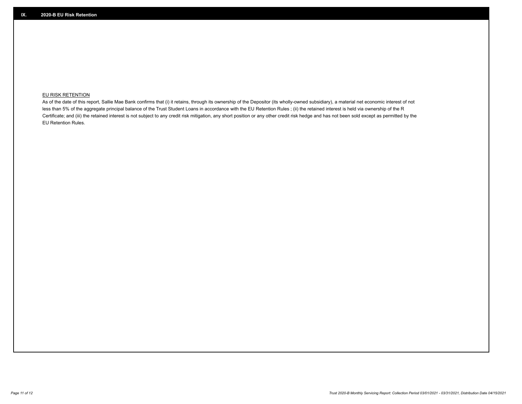### **EU RISK RETENTION**

As of the date of this report, Sallie Mae Bank confirms that (i) it retains, through its ownership of the Depositor (its wholly-owned subsidiary), a material net economic interest of not less than 5% of the aggregate principal balance of the Trust Student Loans in accordance with the EU Retention Rules ; (ii) the retained interest is held via ownership of the R Certificate; and (iii) the retained interest is not subject to any credit risk mitigation, any short position or any other credit risk hedge and has not been sold except as permitted by the EU Retention Rules.